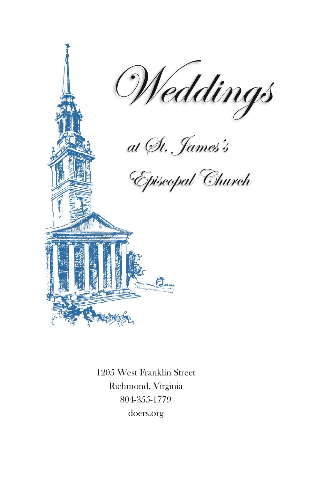

1205 West Franklin Street Richmond, Virginia 804-355-1779 [doers.org](http://www.doers.org/)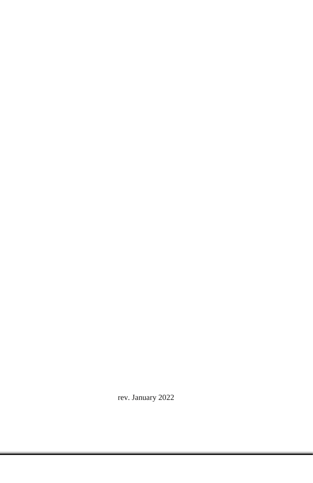rev. January 2022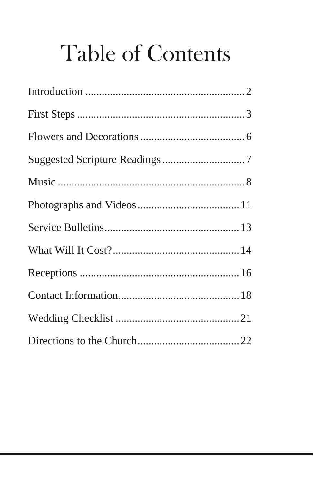# **Table of Contents**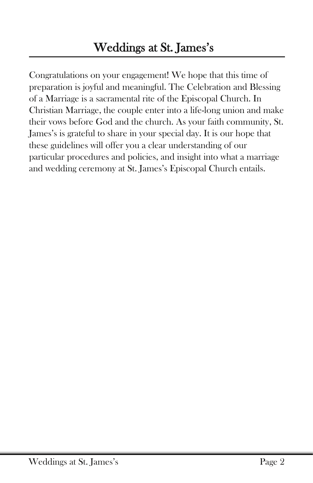Congratulations on your engagement! We hope that this time of preparation is joyful and meaningful. The Celebration and Blessing of a Marriage is a sacramental rite of the Episcopal Church. In Christian Marriage, the couple enter into a life-long union and make their vows before God and the church. As your faith community, St. James's is grateful to share in your special day. It is our hope that these guidelines will offer you a clear understanding of our particular procedures and policies, and insight into what a marriage and wedding ceremony at St. James's Episcopal Church entails.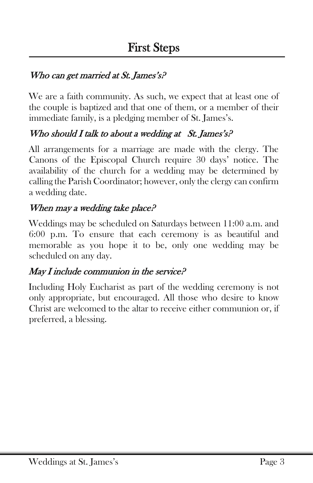#### Who can get married at St. James's?

We are a faith community. As such, we expect that at least one of the couple is baptized and that one of them, or a member of their immediate family, is a pledging member of St. James's.

#### Who should I talk to about a wedding at St. James's?

All arrangements for a marriage are made with the clergy. The Canons of the Episcopal Church require 30 days' notice. The availability of the church for a wedding may be determined by calling the Parish Coordinator; however, only the clergy can confirm a wedding date.

#### When may a wedding take place?

Weddings may be scheduled on Saturdays between 11:00 a.m. and 6:00 p.m. To ensure that each ceremony is as beautiful and memorable as you hope it to be, only one wedding may be scheduled on any day.

#### May I include communion in the service?

Including Holy Eucharist as part of the wedding ceremony is not only appropriate, but encouraged. All those who desire to know Christ are welcomed to the altar to receive either communion or, if preferred, a blessing.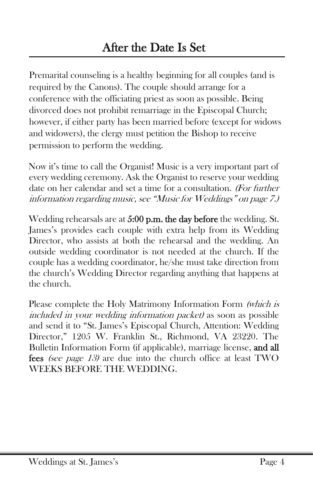Premarital counseling is a healthy beginning for all couples (and is required by the Canons). The couple should arrange for a conference with the officiating priest as soon as possible. Being divorced does not prohibit remarriage in the Episcopal Church; however, if either party has been married before (except for widows and widowers), the clergy must petition the Bishop to receive permission to perform the wedding.

Now it's time to call the Organist! Music is a very important part of every wedding ceremony. Ask the Organist to reserve your wedding date on her calendar and set a time for a consultation. (For further information regarding music, see "Music for Weddings" on page 7.)

Wedding rehearsals are at 5:00 p.m. the day before the wedding. St. James's provides each couple with extra help from its Wedding Director, who assists at both the rehearsal and the wedding. An outside wedding coordinator is not needed at the church. If the couple has a wedding coordinator, he/she must take direction from the church's Wedding Director regarding anything that happens at the church.

Please complete the Holy Matrimony Information Form (which is included in your wedding information packet) as soon as possible and send it to "St. James's Episcopal Church, Attention: Wedding Director," 1205 W. Franklin St., Richmond, VA 23220. The Bulletin Information Form (if applicable), marriage license, and all fees *(see page 13)* are due into the church office at least TWO WEEKS BEFORE THE WEDDING.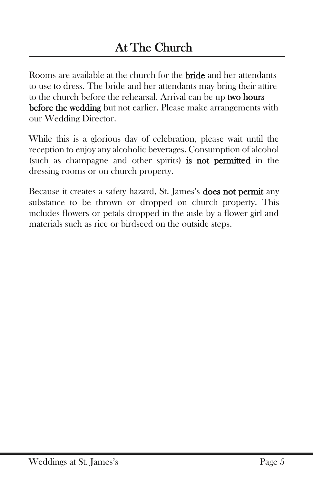Rooms are available at the church for the **bride** and her attendants to use to dress. The bride and her attendants may bring their attire to the church before the rehearsal. Arrival can be up two hours before the wedding but not earlier. Please make arrangements with our Wedding Director.

While this is a glorious day of celebration, please wait until the reception to enjoy any alcoholic beverages. Consumption of alcohol (such as champagne and other spirits) is not permitted in the dressing rooms or on church property.

Because it creates a safety hazard, St. James's **does not permit** any substance to be thrown or dropped on church property. This includes flowers or petals dropped in the aisle by a flower girl and materials such as rice or birdseed on the outside steps.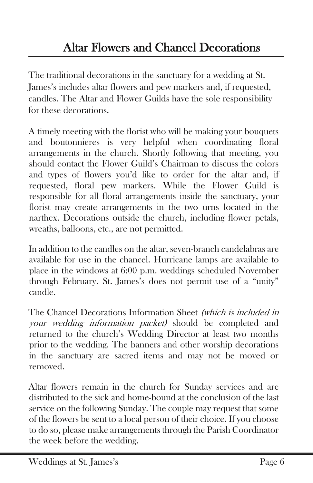The traditional decorations in the sanctuary for a wedding at St. James's includes altar flowers and pew markers and, if requested, candles. The Altar and Flower Guilds have the sole responsibility for these decorations.

A timely meeting with the florist who will be making your bouquets and boutonnieres is very helpful when coordinating floral arrangements in the church. Shortly following that meeting, you should contact the Flower Guild's Chairman to discuss the colors and types of flowers you'd like to order for the altar and, if requested, floral pew markers. While the Flower Guild is responsible for all floral arrangements inside the sanctuary, your florist may create arrangements in the two urns located in the narthex. Decorations outside the church, including flower petals, wreaths, balloons, etc., are not permitted.

In addition to the candles on the altar, seven-branch candelabras are available for use in the chancel. Hurricane lamps are available to place in the windows at 6:00 p.m. weddings scheduled November through February. St. James's does not permit use of a "unity" candle.

The Chancel Decorations Information Sheet (which is included in your wedding information packet) should be completed and returned to the church's Wedding Director at least two months prior to the wedding. The banners and other worship decorations in the sanctuary are sacred items and may not be moved or removed.

Altar flowers remain in the church for Sunday services and are distributed to the sick and home-bound at the conclusion of the last service on the following Sunday. The couple may request that some of the flowers be sent to a local person of their choice. If you choose to do so, please make arrangements through the Parish Coordinator the week before the wedding.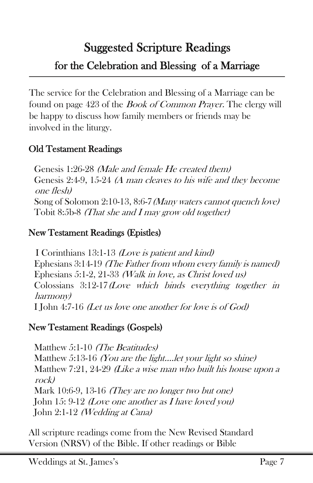# Suggested Scripture Readings for the Celebration and Blessing of a Marriage

The service for the Celebration and Blessing of a Marriage can be found on page 423 of the *Book of Common Prayer*. The clergy will be happy to discuss how family members or friends may be involved in the liturgy.

#### Old Testament Readings

Genesis 1:26-28 (Male and female He created them) Genesis 2:4-9, 15-24 (A man cleaves to his wife and they become one flesh) Song of Solomon 2:10-13, 8:6-7(Many waters cannot quench love) Tobit 8:5b-8 (That she and I may grow old together)

#### New Testament Readings (Epistles)

I Corinthians 13:1-13 (Love is patient and kind) Ephesians 3:14-19 (The Father from whom every family is named) Ephesians 5:1-2, 21-33 (Walk in love, as Christ loved us) Colossians 3:12-17(Love which binds everything together in harmony) I John 4:7-16 (Let us love one another for love is of God)

#### New Testament Readings (Gospels)

Matthew 5:1-10 *(The Beatitudes)* Matthew 5:13-16 *(You are the light....let your light so shine)* Matthew 7:21, 24-29 (Like a wise man who built his house upon a rock) Mark 10:6-9, 13-16 (They are no longer two but one) John 15: 9-12 (Love one another as I have loved you) John 2:1-12 (Wedding at Cana)

All scripture readings come from the New Revised Standard Version (NRSV) of the Bible. If other readings or Bible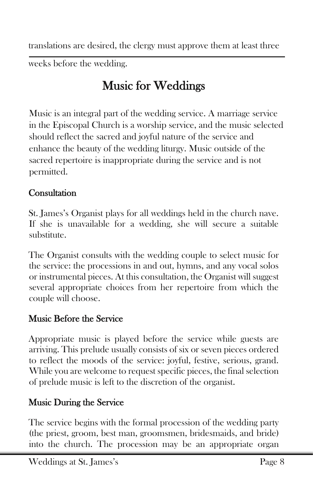translations are desired, the clergy must approve them at least three

weeks before the wedding.

# Music for Weddings

Music is an integral part of the wedding service. A marriage service in the Episcopal Church is a worship service, and the music selected should reflect the sacred and joyful nature of the service and enhance the beauty of the wedding liturgy. Music outside of the sacred repertoire is inappropriate during the service and is not permitted.

#### **Consultation**

St. James's Organist plays for all weddings held in the church nave. If she is unavailable for a wedding, she will secure a suitable substitute.

The Organist consults with the wedding couple to select music for the service: the processions in and out, hymns, and any vocal solos or instrumental pieces. At this consultation, the Organist will suggest several appropriate choices from her repertoire from which the couple will choose.

#### Music Before the Service

Appropriate music is played before the service while guests are arriving. This prelude usually consists of six or seven pieces ordered to reflect the moods of the service: joyful, festive, serious, grand. While you are welcome to request specific pieces, the final selection of prelude music is left to the discretion of the organist.

## Music During the Service

The service begins with the formal procession of the wedding party (the priest, groom, best man, groomsmen, bridesmaids, and bride) into the church. The procession may be an appropriate organ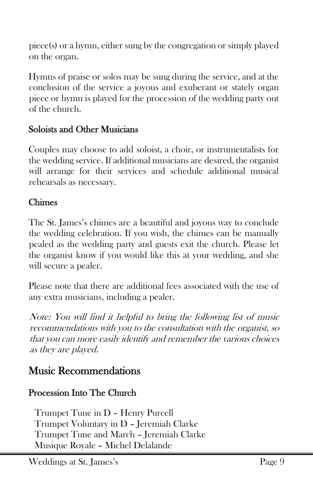piece(s) or a hymn, either sung by the congregation or simply played on the organ.

Hymns of praise or solos may be sung during the service, and at the conclusion of the service a joyous and exuberant or stately organ piece or hymn is played for the procession of the wedding party out of the church.

#### Soloists and Other Musicians

Couples may choose to add soloist, a choir, or instrumentalists for the wedding service. If additional musicians are desired, the organist will arrange for their services and schedule additional musical rehearsals as necessary.

#### Chimes

The St. James's chimes are a beautiful and joyous way to conclude the wedding celebration. If you wish, the chimes can be manually pealed as the wedding party and guests exit the church. Please let the organist know if you would like this at your wedding, and she will secure a pealer.

Please note that there are additional fees associated with the use of any extra musicians, including a pealer.

Note: You will find it helpful to bring the following list of music recommendations with you to the consultation with the organist, so that you can more easily identify and remember the various choices as they are played.

## Music Recommendations

#### Procession Into The Church

Trumpet Tune in D – Henry Purcell Trumpet Voluntary in D – Jeremiah Clarke Trumpet Tune and March – Jeremiah Clarke Musique Royale – Michel Delalande

Weddings at St. James's Page 9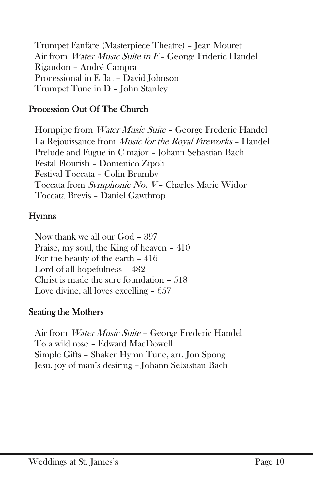Trumpet Fanfare (Masterpiece Theatre) – Jean Mouret Air from *Water Music Suite in F* – George Frideric Handel Rigaudon – André Campra Processional in E flat – David Johnson Trumpet Tune in D – John Stanley

#### Procession Out Of The Church

Hornpipe from Water Music Suite - George Frederic Handel La Rejouissance from Music for the Royal Fireworks – Handel Prelude and Fugue in C major – Johann Sebastian Bach Festal Flourish – Domenico Zipoli Festival Toccata – Colin Brumby Toccata from Symphonie No. V – Charles Marie Widor Toccata Brevis – Daniel Gawthrop

#### Hymns

Now thank we all our God – 397 Praise, my soul, the King of heaven – 410 For the beauty of the earth – 416 Lord of all hopefulness – 482 Christ is made the sure foundation – 518 Love divine, all loves excelling – 657

#### Seating the Mothers

Air from Water Music Suite – George Frederic Handel To a wild rose – Edward MacDowell Simple Gifts – Shaker Hymn Tune, arr. Jon Spong Jesu, joy of man's desiring – Johann Sebastian Bach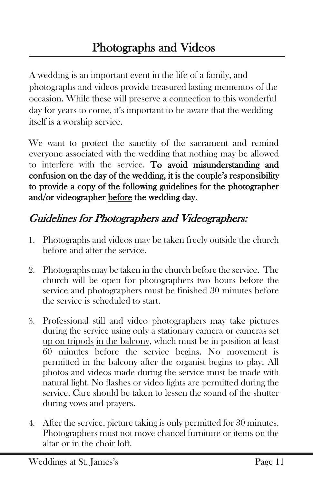A wedding is an important event in the life of a family, and photographs and videos provide treasured lasting mementos of the occasion. While these will preserve a connection to this wonderful day for years to come, it's important to be aware that the wedding itself is a worship service.

We want to protect the sanctity of the sacrament and remind everyone associated with the wedding that nothing may be allowed to interfere with the service. To avoid misunderstanding and confusion on the day of the wedding, it is the couple's responsibility to provide a copy of the following guidelines for the photographer and/or videographer before the wedding day.

## Guidelines for Photographers and Videographers:

- 1. Photographs and videos may be taken freely outside the church before and after the service.
- 2. Photographs may be taken in the church before the service. The church will be open for photographers two hours before the service and photographers must be finished 30 minutes before the service is scheduled to start.
- 3. Professional still and video photographers may take pictures during the service using only a stationary camera or cameras set up on tripods in the balcony, which must be in position at least 60 minutes before the service begins. No movement is permitted in the balcony after the organist begins to play. All photos and videos made during the service must be made with natural light. No flashes or video lights are permitted during the service. Care should be taken to lessen the sound of the shutter during vows and prayers.
- 4. After the service, picture taking is only permitted for 30 minutes. Photographers must not move chancel furniture or items on the altar or in the choir loft.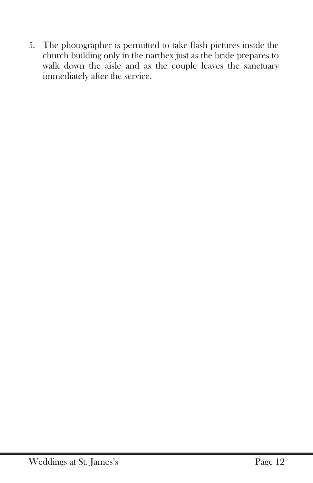5. The photographer is permitted to take flash pictures inside the church building only in the narthex just as the bride prepares to walk down the aisle and as the couple leaves the sanctuary immediately after the service.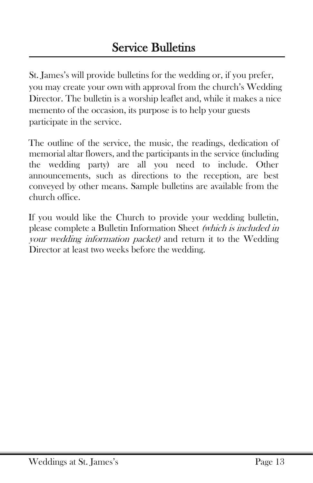St. James's will provide bulletins for the wedding or, if you prefer, you may create your own with approval from the church's Wedding Director. The bulletin is a worship leaflet and, while it makes a nice memento of the occasion, its purpose is to help your guests participate in the service.

The outline of the service, the music, the readings, dedication of memorial altar flowers, and the participants in the service (including the wedding party) are all you need to include. Other announcements, such as directions to the reception, are best conveyed by other means. Sample bulletins are available from the church office.

If you would like the Church to provide your wedding bulletin, please complete a Bulletin Information Sheet (which is included in your wedding information packet) and return it to the Wedding Director at least two weeks before the wedding.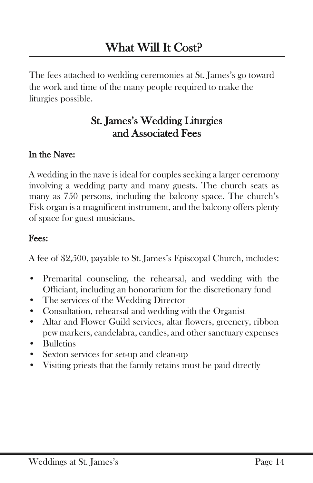The fees attached to wedding ceremonies at St. James's go toward the work and time of the many people required to make the liturgies possible.

## St. James's Wedding Liturgies and Associated Fees

#### In the Nave:

A wedding in the nave is ideal for couples seeking a larger ceremony involving a wedding party and many guests. The church seats as many as 750 persons, including the balcony space. The church's Fisk organ is a magnificent instrument, and the balcony offers plenty of space for guest musicians.

#### Fees:

A fee of \$2,500, payable to St. James's Episcopal Church, includes:

- Premarital counseling, the rehearsal, and wedding with the Officiant, including an honorarium for the discretionary fund
- The services of the Wedding Director
- Consultation, rehearsal and wedding with the Organist
- Altar and Flower Guild services, altar flowers, greenery, ribbon pew markers, candelabra, candles, and other sanctuary expenses
- Bulletins
- Sexton services for set-up and clean-up
- Visiting priests that the family retains must be paid directly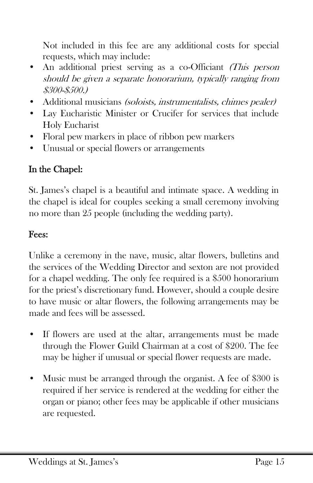Not included in this fee are any additional costs for special requests, which may include:

- An additional priest serving as a co-Officiant (This person should be given a separate honorarium, typically ranging from \$300-\$500.)
- Additional musicians (soloists, instrumentalists, chimes pealer)
- Lay Eucharistic Minister or Crucifer for services that include Holy Eucharist
- Floral pew markers in place of ribbon pew markers
- Unusual or special flowers or arrangements

## In the Chapel:

St. James's chapel is a beautiful and intimate space. A wedding in the chapel is ideal for couples seeking a small ceremony involving no more than 25 people (including the wedding party).

#### Fees:

Unlike a ceremony in the nave, music, altar flowers, bulletins and the services of the Wedding Director and sexton are not provided for a chapel wedding. The only fee required is a \$500 honorarium for the priest's discretionary fund. However, should a couple desire to have music or altar flowers, the following arrangements may be made and fees will be assessed.

- If flowers are used at the altar, arrangements must be made through the Flower Guild Chairman at a cost of \$200. The fee may be higher if unusual or special flower requests are made.
- Music must be arranged through the organist. A fee of \$300 is required if her service is rendered at the wedding for either the organ or piano; other fees may be applicable if other musicians are requested.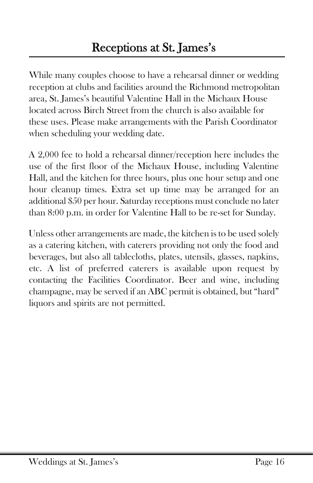While many couples choose to have a rehearsal dinner or wedding reception at clubs and facilities around the Richmond metropolitan area, St. James's beautiful Valentine Hall in the Michaux House located across Birch Street from the church is also available for these uses. Please make arrangements with the Parish Coordinator when scheduling your wedding date.

A 2,000 fee to hold a rehearsal dinner/reception here includes the use of the first floor of the Michaux House, including Valentine Hall, and the kitchen for three hours, plus one hour setup and one hour cleanup times. Extra set up time may be arranged for an additional \$50 per hour. Saturday receptions must conclude no later than 8:00 p.m. in order for Valentine Hall to be re-set for Sunday.

Unless other arrangements are made, the kitchen is to be used solely as a catering kitchen, with caterers providing not only the food and beverages, but also all tablecloths, plates, utensils, glasses, napkins, etc. A list of preferred caterers is available upon request by contacting the Facilities Coordinator. Beer and wine, including champagne, may be served if an ABC permit is obtained, but "hard" liquors and spirits are not permitted.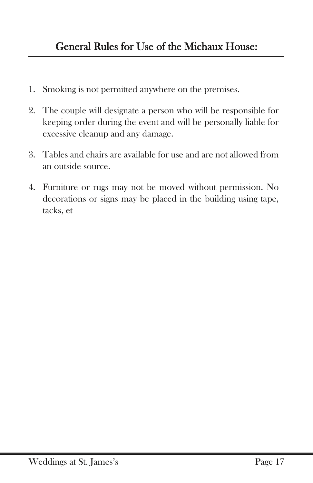- 1. Smoking is not permitted anywhere on the premises.
- 2. The couple will designate a person who will be responsible for keeping order during the event and will be personally liable for excessive cleanup and any damage.
- 3. Tables and chairs are available for use and are not allowed from an outside source.
- 4. Furniture or rugs may not be moved without permission. No decorations or signs may be placed in the building using tape, tacks, et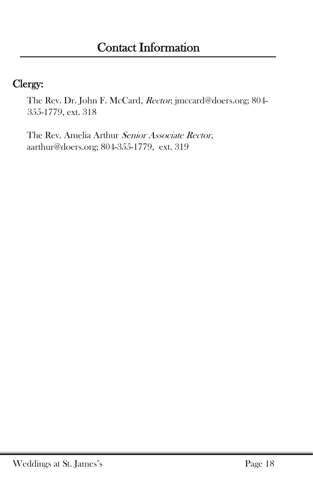## Clergy:

The Rev. Dr. John F. McCard, Rector; jmccard@doers.org; 804- 355-1779, ext. 318

The Rev. Amelia Arthur Senior Associate Rector, aarthur@doers.org; 804-355-1779, ext. 319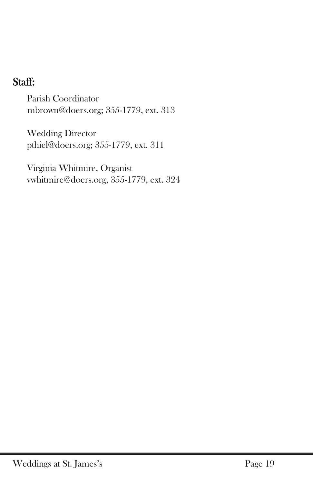## Staff:

Parish Coordinator mbrown@doers.org; 355-1779, ext. 313

Wedding Director pthiel@doers.org; 355-1779, ext. 311

Virginia Whitmire, Organist vwhitmire@doers.org, 355-1779, ext. 324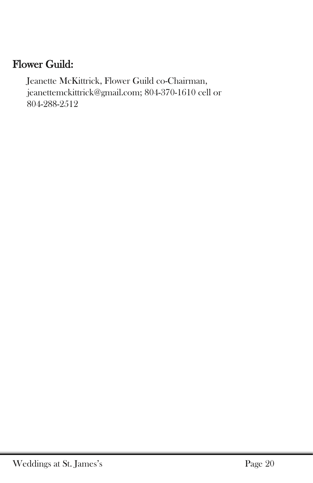## Flower Guild:

Jeanette McKittrick, Flower Guild co-Chairman, [jeanettemckittrick@gmail.com;](mailto:jeanettemckittrick@gmail.com) 804-370-1610 cell or 804-288-2512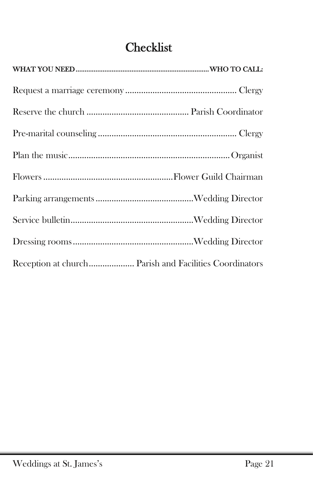## Checklist

| Reception at church Parish and Facilities Coordinators |
|--------------------------------------------------------|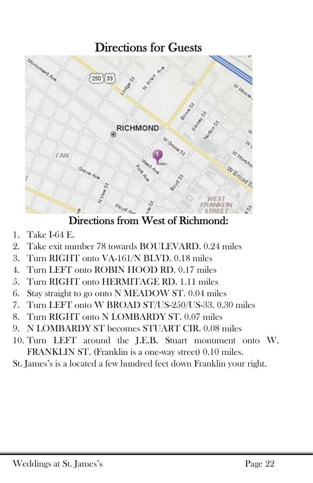## Directions for Guests



Directions from West of Richmond:

- 1. Take I-64 E.
- 2. Take exit number 78 towards BOULEVARD. 0.24 miles
- 3. Turn RIGHT onto VA-161/N BLVD. 0.18 miles
- 4. Turn LEFT onto ROBIN HOOD RD. 0.17 miles
- 5. Turn RIGHT onto HERMITAGE RD. 1.11 miles
- 6. Stay straight to go onto N MEADOW ST. 0.04 miles
- 7. Turn LEFT onto W BROAD ST/US-250/US-33. 0.30 miles
- 8. Turn RIGHT onto N LOMBARDY ST. 0.07 miles
- 9. N LOMBARDY ST becomes STUART CIR. 0.08 miles
- 10. Turn LEFT around the J.E.B. Stuart monument onto W. FRANKLIN ST. (Franklin is a one-way street) 0.10 miles.
- St. James's is a located a few hundred feet down Franklin your right.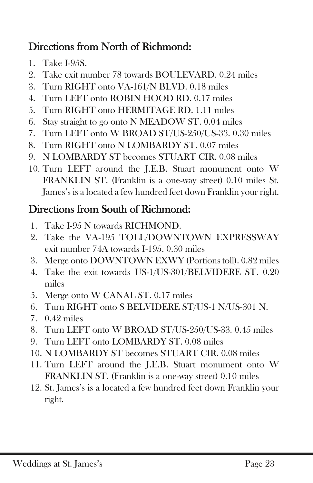## Directions from North of Richmond:

- 1. Take I-95S.
- 2. Take exit number 78 towards BOULEVARD. 0.24 miles
- 3. Turn RIGHT onto VA-161/N BLVD. 0.18 miles
- 4. Turn LEFT onto ROBIN HOOD RD. 0.17 miles
- 5. Turn RIGHT onto HERMITAGE RD. 1.11 miles
- 6. Stay straight to go onto N MEADOW ST. 0.04 miles
- 7. Turn LEFT onto W BROAD ST/US-250/US-33. 0.30 miles
- 8. Turn RIGHT onto N LOMBARDY ST. 0.07 miles
- 9. N LOMBARDY ST becomes STUART CIR. 0.08 miles
- 10. Turn LEFT around the J.E.B. Stuart monument onto W FRANKLIN ST. (Franklin is a one-way street) 0.10 miles St. James's is a located a few hundred feet down Franklin your right.

## Directions from South of Richmond:

- 1. Take I-95 N towards RICHMOND.
- 2. Take the VA-195 TOLL/DOWNTOWN EXPRESSWAY exit number 74A towards I-195. 0.30 miles
- 3. Merge onto DOWNTOWN EXWY (Portions toll). 0.82 miles
- 4. Take the exit towards US-1/US-301/BELVIDERE ST. 0.20 miles
- 5. Merge onto W CANAL ST. 0.17 miles
- 6. Turn RIGHT onto S BELVIDERE ST/US-1 N/US-301 N.
- 7. 0.42 miles
- 8. Turn LEFT onto W BROAD ST/US-250/US-33. 0.45 miles
- 9. Turn LEFT onto LOMBARDY ST. 0.08 miles
- 10. N LOMBARDY ST becomes STUART CIR. 0.08 miles
- 11. Turn LEFT around the J.E.B. Stuart monument onto W FRANKLIN ST. (Franklin is a one-way street) 0.10 miles
- 12. St. James's is a located a few hundred feet down Franklin your right.